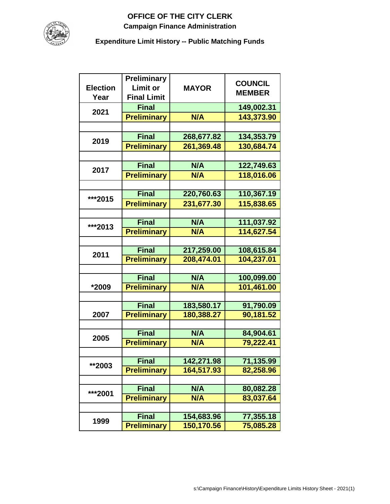## **OFFICE OF THE CITY CLERK Campaign Finance Administration**



**Expenditure Limit History -- Public Matching Funds**

| <b>Election</b><br>Year | <b>Preliminary</b><br><b>Limit or</b><br><b>Final Limit</b> | <b>MAYOR</b> | <b>COUNCIL</b><br><b>MEMBER</b> |
|-------------------------|-------------------------------------------------------------|--------------|---------------------------------|
| 2021                    | <b>Final</b>                                                |              | 149,002.31                      |
|                         | <b>Preliminary</b>                                          | N/A          | 143,373.90                      |
|                         |                                                             |              |                                 |
| 2019                    | <b>Final</b>                                                | 268,677.82   | 134,353.79                      |
|                         | <b>Preliminary</b>                                          | 261,369.48   | 130,684.74                      |
|                         |                                                             |              |                                 |
| 2017                    | <b>Final</b>                                                | N/A          | 122,749.63                      |
|                         | <b>Preliminary</b>                                          | N/A          | 118,016.06                      |
|                         |                                                             |              |                                 |
| ***2015                 | <b>Final</b>                                                | 220,760.63   | 110,367.19                      |
|                         | <b>Preliminary</b>                                          | 231,677.30   | 115,838.65                      |
|                         |                                                             |              |                                 |
| ***2013                 | <b>Final</b>                                                | N/A          | 111,037.92                      |
|                         | <b>Preliminary</b>                                          | <b>N/A</b>   | 114,627.54                      |
|                         |                                                             |              |                                 |
| 2011                    | <b>Final</b>                                                | 217,259.00   | 108,615.84                      |
|                         | <b>Preliminary</b>                                          | 208,474.01   | 104,237.01                      |
|                         | <b>Final</b>                                                | N/A          | 100,099.00                      |
| *2009                   | <b>Preliminary</b>                                          | N/A          | 101,461.00                      |
|                         |                                                             |              |                                 |
|                         | <b>Final</b>                                                | 183,580.17   | 91,790.09                       |
| 2007                    | <b>Preliminary</b>                                          | 180,388.27   | 90,181.52                       |
|                         |                                                             |              |                                 |
|                         | <b>Final</b>                                                | N/A          | 84,904.61                       |
| 2005                    | <b>Preliminary</b>                                          | N/A          | 79,222.41                       |
|                         |                                                             |              |                                 |
| **2003                  | <b>Final</b>                                                | 142,271.98   | 71,135.99                       |
|                         | <b>Preliminary</b>                                          | 164,517.93   | 82,258.96                       |
|                         |                                                             |              |                                 |
| ***2001                 | <b>Final</b>                                                | N/A          | 80,082.28                       |
|                         | <b>Preliminary</b>                                          | N/A          | 83,037.64                       |
|                         |                                                             |              |                                 |
| 1999                    | <b>Final</b>                                                | 154,683.96   | 77,355.18                       |
|                         | <b>Preliminary</b>                                          | 150,170.56   | 75,085.28                       |